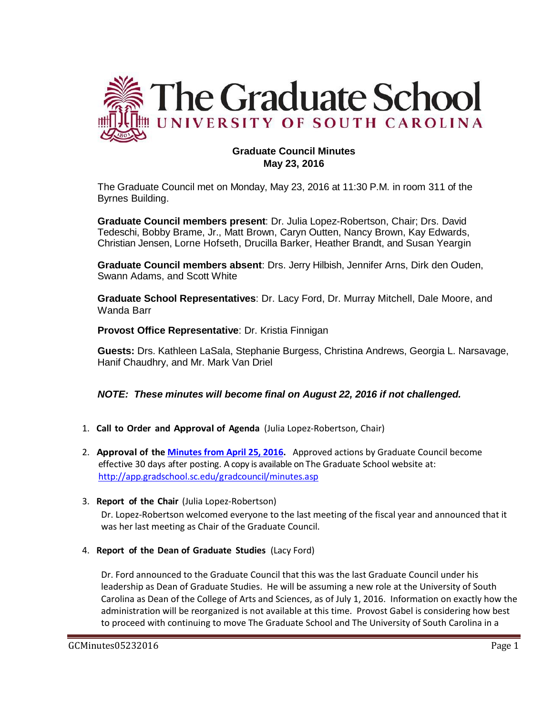

# **Graduate Council Minutes May 23, 2016**

The Graduate Council met on Monday, May 23, 2016 at 11:30 P.M. in room 311 of the Byrnes Building.

**Graduate Council members present**: Dr. Julia Lopez-Robertson, Chair; Drs. David Tedeschi, Bobby Brame, Jr., Matt Brown, Caryn Outten, Nancy Brown, Kay Edwards, Christian Jensen, Lorne Hofseth, Drucilla Barker, Heather Brandt, and Susan Yeargin

**Graduate Council members absent**: Drs. Jerry Hilbish, Jennifer Arns, Dirk den Ouden, Swann Adams, and Scott White

**Graduate School Representatives**: Dr. Lacy Ford, Dr. Murray Mitchell, Dale Moore, and Wanda Barr

**Provost Office Representative**: Dr. Kristia Finnigan

**Guests:** Drs. Kathleen LaSala, Stephanie Burgess, Christina Andrews, Georgia L. Narsavage, Hanif Chaudhry, and Mr. Mark Van Driel

# *NOTE: These minutes will become final on August 22, 2016 if not challenged.*

- 1. **Call to Order and Approval of Agenda** (Julia Lopez-Robertson, Chair)
- 2. **Approval of the [Minutes from April 25, 2016.](http://gradschool.sc.edu/facstaff/gradcouncil/2015/GCMINUTESApril252016MM.pdf)** Approved actions by Graduate Council become effective 30 days after posting. A copy is available on The Graduate School website at: <http://app.gradschool.sc.edu/gradcouncil/minutes.asp>
- 3. **Report of the Chair** (Julia Lopez-Robertson)

Dr. Lopez-Robertson welcomed everyone to the last meeting of the fiscal year and announced that it was her last meeting as Chair of the Graduate Council.

4. **Report of the Dean of Graduate Studies** (Lacy Ford)

Dr. Ford announced to the Graduate Council that this was the last Graduate Council under his leadership as Dean of Graduate Studies. He will be assuming a new role at the University of South Carolina as Dean of the College of Arts and Sciences, as of July 1, 2016. Information on exactly how the administration will be reorganized is not available at this time. Provost Gabel is considering how best to proceed with continuing to move The Graduate School and The University of South Carolina in a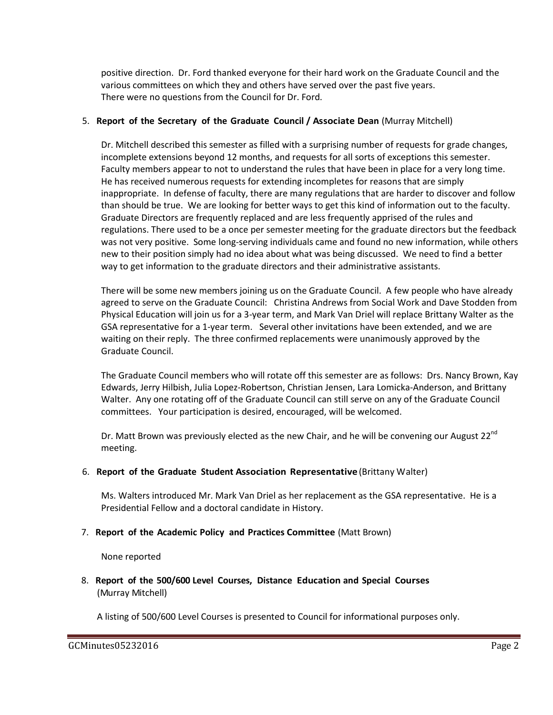positive direction. Dr. Ford thanked everyone for their hard work on the Graduate Council and the various committees on which they and others have served over the past five years. There were no questions from the Council for Dr. Ford.

#### 5. **Report of the Secretary of the Graduate Council / Associate Dean** (Murray Mitchell)

Dr. Mitchell described this semester as filled with a surprising number of requests for grade changes, incomplete extensions beyond 12 months, and requests for all sorts of exceptions this semester. Faculty members appear to not to understand the rules that have been in place for a very long time. He has received numerous requests for extending incompletes for reasons that are simply inappropriate. In defense of faculty, there are many regulations that are harder to discover and follow than should be true. We are looking for better ways to get this kind of information out to the faculty. Graduate Directors are frequently replaced and are less frequently apprised of the rules and regulations. There used to be a once per semester meeting for the graduate directors but the feedback was not very positive. Some long-serving individuals came and found no new information, while others new to their position simply had no idea about what was being discussed. We need to find a better way to get information to the graduate directors and their administrative assistants.

There will be some new members joining us on the Graduate Council. A few people who have already agreed to serve on the Graduate Council: Christina Andrews from Social Work and Dave Stodden from Physical Education will join us for a 3-year term, and Mark Van Driel will replace Brittany Walter as the GSA representative for a 1-year term. Several other invitations have been extended, and we are waiting on their reply. The three confirmed replacements were unanimously approved by the Graduate Council.

The Graduate Council members who will rotate off this semester are as follows: Drs. Nancy Brown, Kay Edwards, Jerry Hilbish, Julia Lopez-Robertson, Christian Jensen, Lara Lomicka-Anderson, and Brittany Walter. Any one rotating off of the Graduate Council can still serve on any of the Graduate Council committees. Your participation is desired, encouraged, will be welcomed.

Dr. Matt Brown was previously elected as the new Chair, and he will be convening our August 22<sup>nd</sup> meeting.

#### 6. **Report of the Graduate Student Association Representative** (Brittany Walter)

Ms. Walters introduced Mr. Mark Van Driel as her replacement as the GSA representative. He is a Presidential Fellow and a doctoral candidate in History.

#### 7. **Report of the Academic Policy and Practices Committee** (Matt Brown)

None reported

8. **Report of the 500/600 Level Courses, Distance Education and Special Courses** (Murray Mitchell)

A listing of 500/600 Level Courses is presented to Council for informational purposes only.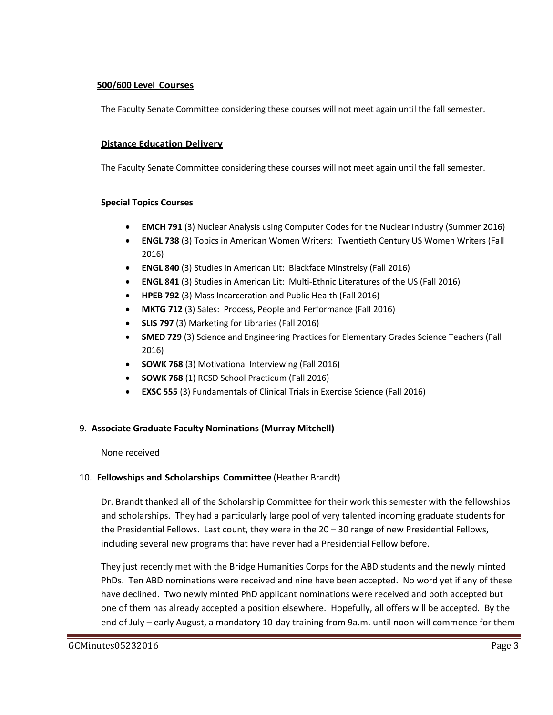## **500/600 Level Courses**

The Faculty Senate Committee considering these courses will not meet again until the fall semester.

## **Distance Education Delivery**

The Faculty Senate Committee considering these courses will not meet again until the fall semester.

## **Special Topics Courses**

- **EMCH 791** (3) Nuclear Analysis using Computer Codes for the Nuclear Industry (Summer 2016)
- **ENGL 738** (3) Topics in American Women Writers: Twentieth Century US Women Writers (Fall 2016)
- **ENGL 840** (3) Studies in American Lit: Blackface Minstrelsy (Fall 2016)
- **ENGL 841** (3) Studies in American Lit: Multi-Ethnic Literatures of the US (Fall 2016)
- **HPEB 792** (3) Mass Incarceration and Public Health (Fall 2016)
- **MKTG 712** (3) Sales: Process, People and Performance (Fall 2016)
- **SLIS 797** (3) Marketing for Libraries (Fall 2016)
- **SMED 729** (3) Science and Engineering Practices for Elementary Grades Science Teachers (Fall 2016)
- **SOWK 768** (3) Motivational Interviewing (Fall 2016)
- **SOWK 768** (1) RCSD School Practicum (Fall 2016)
- **EXSC 555** (3) Fundamentals of Clinical Trials in Exercise Science (Fall 2016)

# 9. **Associate Graduate Faculty Nominations (Murray Mitchell)**

### None received

# 10. **Fellowships and Scholarships Committee** (Heather Brandt)

Dr. Brandt thanked all of the Scholarship Committee for their work this semester with the fellowships and scholarships. They had a particularly large pool of very talented incoming graduate students for the Presidential Fellows. Last count, they were in the 20 – 30 range of new Presidential Fellows, including several new programs that have never had a Presidential Fellow before.

They just recently met with the Bridge Humanities Corps for the ABD students and the newly minted PhDs. Ten ABD nominations were received and nine have been accepted. No word yet if any of these have declined. Two newly minted PhD applicant nominations were received and both accepted but one of them has already accepted a position elsewhere. Hopefully, all offers will be accepted. By the end of July – early August, a mandatory 10-day training from 9a.m. until noon will commence for them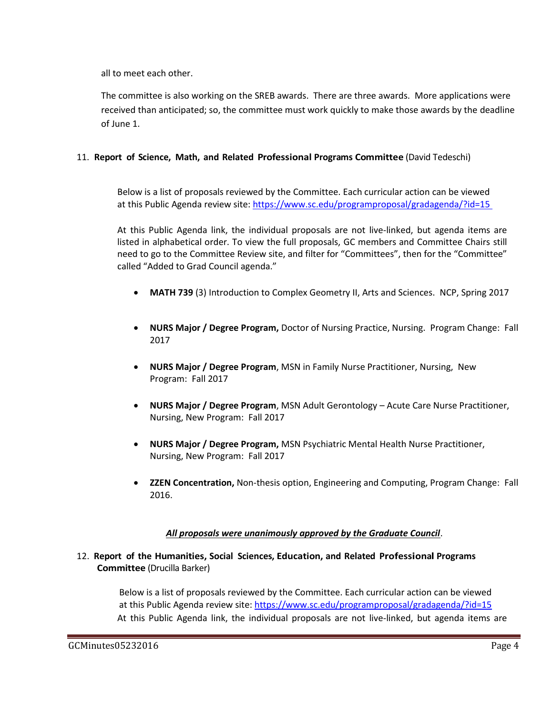all to meet each other.

The committee is also working on the SREB awards. There are three awards. More applications were received than anticipated; so, the committee must work quickly to make those awards by the deadline of June 1.

## 11. **Report of Science, Math, and Related Professional Programs Committee** (David Tedeschi)

Below is a list of proposals reviewed by the Committee. Each curricular action can be viewed at this Public Agenda review site:<https://www.sc.edu/programproposal/gradagenda/?id=15>

At this Public Agenda link, the individual proposals are not live-linked, but agenda items are listed in alphabetical order. To view the full proposals, GC members and Committee Chairs still need to go to the Committee Review site, and filter for "Committees", then for the "Committee" called "Added to Grad Council agenda."

- **MATH 739** (3) Introduction to Complex Geometry II, Arts and Sciences. NCP, Spring 2017
- **NURS Major / Degree Program,** Doctor of Nursing Practice, Nursing. Program Change: Fall 2017
- **NURS Major / Degree Program**, MSN in Family Nurse Practitioner, Nursing, New Program: Fall 2017
- **NURS Major / Degree Program**, MSN Adult Gerontology Acute Care Nurse Practitioner, Nursing, New Program: Fall 2017
- **NURS Major / Degree Program,** MSN Psychiatric Mental Health Nurse Practitioner, Nursing, New Program: Fall 2017
- **ZZEN Concentration,** Non-thesis option, Engineering and Computing, Program Change: Fall 2016.

### *All proposals were unanimously approved by the Graduate Council*.

## 12. **Report of the Humanities, Social Sciences, Education, and Related Professional Programs Committee** (Drucilla Barker)

Below is a list of proposals reviewed by the Committee. Each curricular action can be viewed at this Public Agenda review site:<https://www.sc.edu/programproposal/gradagenda/?id=15> At this Public Agenda link, the individual proposals are not live-linked, but agenda items are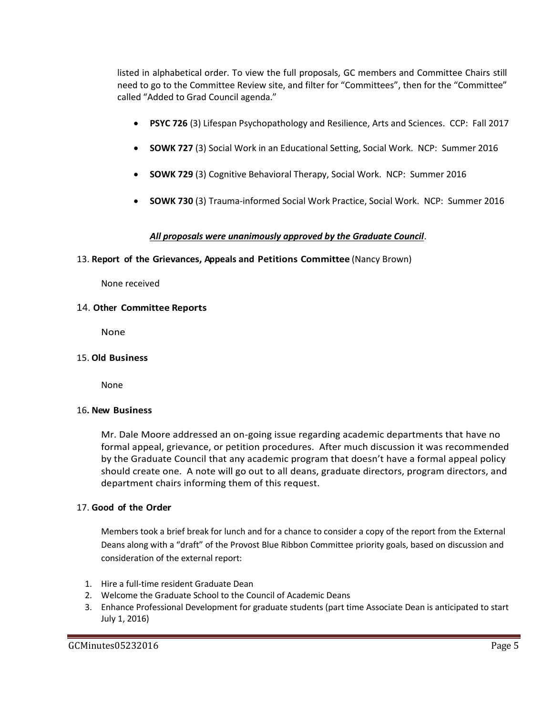listed in alphabetical order. To view the full proposals, GC members and Committee Chairs still need to go to the Committee Review site, and filter for "Committees", then for the "Committee" called "Added to Grad Council agenda."

- **PSYC 726** (3) Lifespan Psychopathology and Resilience, Arts and Sciences. CCP: Fall 2017
- **SOWK 727** (3) Social Work in an Educational Setting, Social Work. NCP: Summer 2016
- **SOWK 729** (3) Cognitive Behavioral Therapy, Social Work. NCP: Summer 2016
- **SOWK 730** (3) Trauma-informed Social Work Practice, Social Work. NCP: Summer 2016

#### *All proposals were unanimously approved by the Graduate Council*.

#### 13. **Report of the Grievances, Appeals and Petitions Committee** (Nancy Brown)

None received

#### 14. **Other Committee Reports**

None

#### 15. **Old Business**

None

#### 16**. New Business**

Mr. Dale Moore addressed an on-going issue regarding academic departments that have no formal appeal, grievance, or petition procedures. After much discussion it was recommended by the Graduate Council that any academic program that doesn't have a formal appeal policy should create one. A note will go out to all deans, graduate directors, program directors, and department chairs informing them of this request.

### 17. **Good of the Order**

Members took a brief break for lunch and for a chance to consider a copy of the report from the External Deans along with a "draft" of the Provost Blue Ribbon Committee priority goals, based on discussion and consideration of the external report:

- 1. Hire a full-time resident Graduate Dean
- 2. Welcome the Graduate School to the Council of Academic Deans
- 3. Enhance Professional Development for graduate students (part time Associate Dean is anticipated to start July 1, 2016)